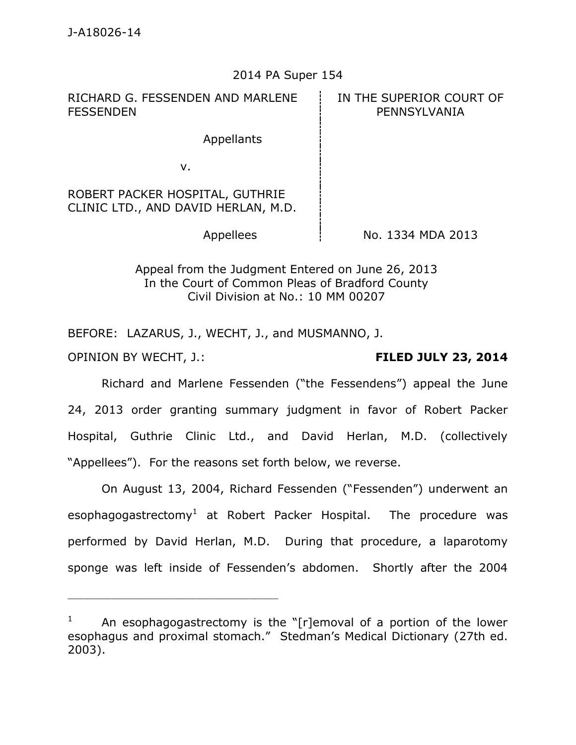### 2014 PA Super 154

RICHARD G. FESSENDEN AND MARLENE **FESSENDEN** 

IN THE SUPERIOR COURT OF PENNSYLVANIA

Appellants

v.

ROBERT PACKER HOSPITAL, GUTHRIE CLINIC LTD., AND DAVID HERLAN, M.D.

Appellees  $\frac{1}{2}$  No. 1334 MDA 2013

Appeal from the Judgment Entered on June 26, 2013 In the Court of Common Pleas of Bradford County Civil Division at No.: 10 MM 00207

BEFORE: LAZARUS, J., WECHT, J., and MUSMANNO, J.

\_\_\_\_\_\_\_\_\_\_\_\_\_\_\_\_\_\_\_\_\_\_\_\_\_\_\_\_\_\_\_\_\_\_\_\_\_\_\_\_\_\_\_\_

OPINION BY WECHT, J.: **FILED JULY 23, 2014** 

Richard and Marlene Fessenden ("the Fessendens") appeal the June 24, 2013 order granting summary judgment in favor of Robert Packer Hospital, Guthrie Clinic Ltd., and David Herlan, M.D. (collectively "Appellees"). For the reasons set forth below, we reverse.

On August 13, 2004, Richard Fessenden ("Fessenden") underwent an esophagogastrectomy<sup>1</sup> at Robert Packer Hospital. The procedure was performed by David Herlan, M.D. During that procedure, a laparotomy sponge was left inside of Fessenden's abdomen. Shortly after the 2004

<sup>1</sup> An esophagogastrectomy is the "[r]emoval of a portion of the lower esophagus and proximal stomach." Stedman's Medical Dictionary (27th ed. 2003).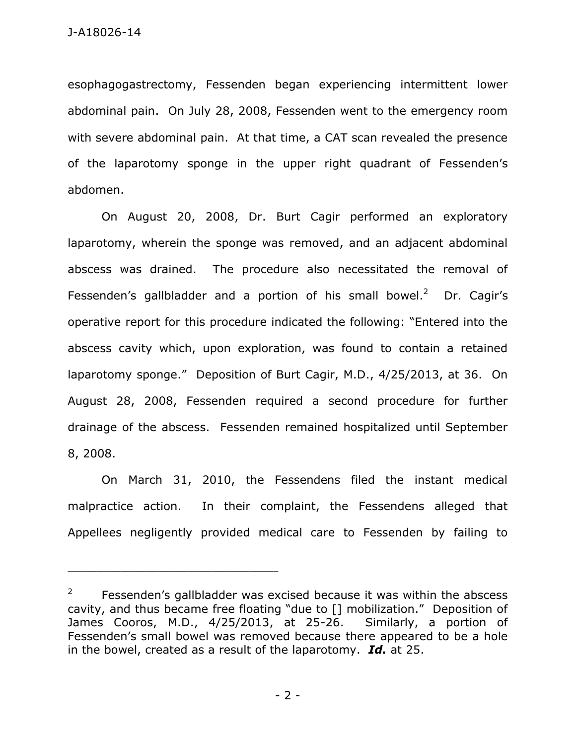esophagogastrectomy, Fessenden began experiencing intermittent lower abdominal pain. On July 28, 2008, Fessenden went to the emergency room with severe abdominal pain. At that time, a CAT scan revealed the presence of the laparotomy sponge in the upper right quadrant of Fessenden's abdomen.

On August 20, 2008, Dr. Burt Cagir performed an exploratory laparotomy, wherein the sponge was removed, and an adjacent abdominal abscess was drained. The procedure also necessitated the removal of Fessenden's gallbladder and a portion of his small bowel. $2$  Dr. Cagir's operative report for this procedure indicated the following: "Entered into the abscess cavity which, upon exploration, was found to contain a retained laparotomy sponge." Deposition of Burt Cagir, M.D., 4/25/2013, at 36. On August 28, 2008, Fessenden required a second procedure for further drainage of the abscess. Fessenden remained hospitalized until September 8, 2008.

On March 31, 2010, the Fessendens filed the instant medical malpractice action. In their complaint, the Fessendens alleged that Appellees negligently provided medical care to Fessenden by failing to

<sup>2</sup> Fessenden's gallbladder was excised because it was within the abscess cavity, and thus became free floating "due to [] mobilization." Deposition of James Cooros, M.D., 4/25/2013, at 25-26. Similarly, a portion of Fessenden's small bowel was removed because there appeared to be a hole in the bowel, created as a result of the laparotomy. *Id.* at 25.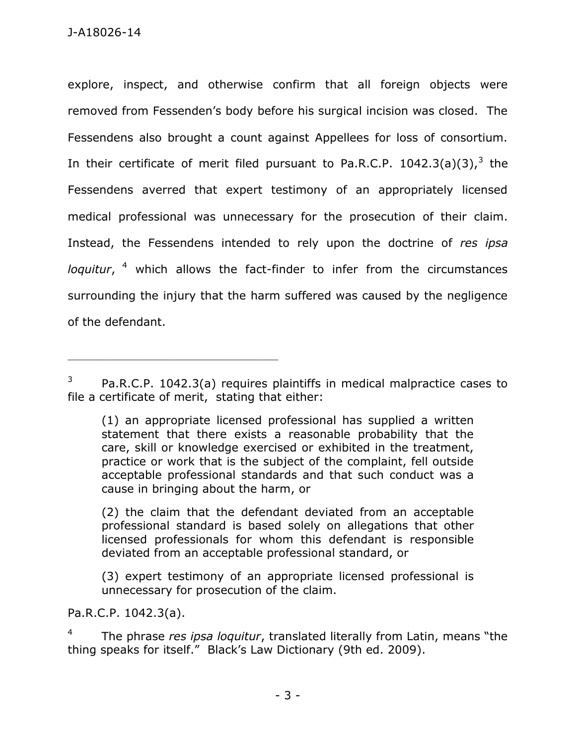explore, inspect, and otherwise confirm that all foreign objects were removed from Fessenden's body before his surgical incision was closed. The Fessendens also brought a count against Appellees for loss of consortium. In their certificate of merit filed pursuant to Pa.R.C.P.  $1042.3(a)(3)$ , the Fessendens averred that expert testimony of an appropriately licensed medical professional was unnecessary for the prosecution of their claim. Instead, the Fessendens intended to rely upon the doctrine of *res ipsa*  loquitur, <sup>4</sup> which allows the fact-finder to infer from the circumstances surrounding the injury that the harm suffered was caused by the negligence of the defendant.

(2) the claim that the defendant deviated from an acceptable professional standard is based solely on allegations that other licensed professionals for whom this defendant is responsible deviated from an acceptable professional standard, or

(3) expert testimony of an appropriate licensed professional is unnecessary for prosecution of the claim.

Pa.R.C.P. 1042.3(a).

\_\_\_\_\_\_\_\_\_\_\_\_\_\_\_\_\_\_\_\_\_\_\_\_\_\_\_\_\_\_\_\_\_\_\_\_\_\_\_\_\_\_\_\_

4 The phrase *res ipsa loquitur*, translated literally from Latin, means "the thing speaks for itself." Black's Law Dictionary (9th ed. 2009).

<sup>3</sup> Pa.R.C.P. 1042.3(a) requires plaintiffs in medical malpractice cases to file a certificate of merit, stating that either:

<sup>(1)</sup> an appropriate licensed professional has supplied a written statement that there exists a reasonable probability that the care, skill or knowledge exercised or exhibited in the treatment, practice or work that is the subject of the complaint, fell outside acceptable professional standards and that such conduct was a cause in bringing about the harm, or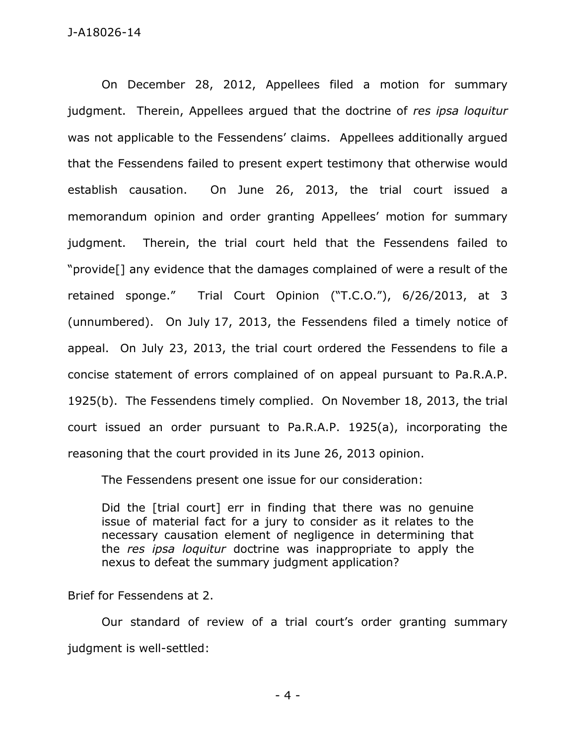On December 28, 2012, Appellees filed a motion for summary judgment. Therein, Appellees argued that the doctrine of *res ipsa loquitur* was not applicable to the Fessendens' claims. Appellees additionally argued that the Fessendens failed to present expert testimony that otherwise would establish causation. On June 26, 2013, the trial court issued a memorandum opinion and order granting Appellees' motion for summary judgment. Therein, the trial court held that the Fessendens failed to "provide[] any evidence that the damages complained of were a result of the retained sponge." Trial Court Opinion ("T.C.O."), 6/26/2013, at 3 (unnumbered). On July 17, 2013, the Fessendens filed a timely notice of appeal. On July 23, 2013, the trial court ordered the Fessendens to file a concise statement of errors complained of on appeal pursuant to Pa.R.A.P. 1925(b). The Fessendens timely complied. On November 18, 2013, the trial court issued an order pursuant to Pa.R.A.P. 1925(a), incorporating the reasoning that the court provided in its June 26, 2013 opinion.

The Fessendens present one issue for our consideration:

Did the [trial court] err in finding that there was no genuine issue of material fact for a jury to consider as it relates to the necessary causation element of negligence in determining that the *res ipsa loquitur* doctrine was inappropriate to apply the nexus to defeat the summary judgment application?

Brief for Fessendens at 2.

Our standard of review of a trial court's order granting summary judgment is well-settled: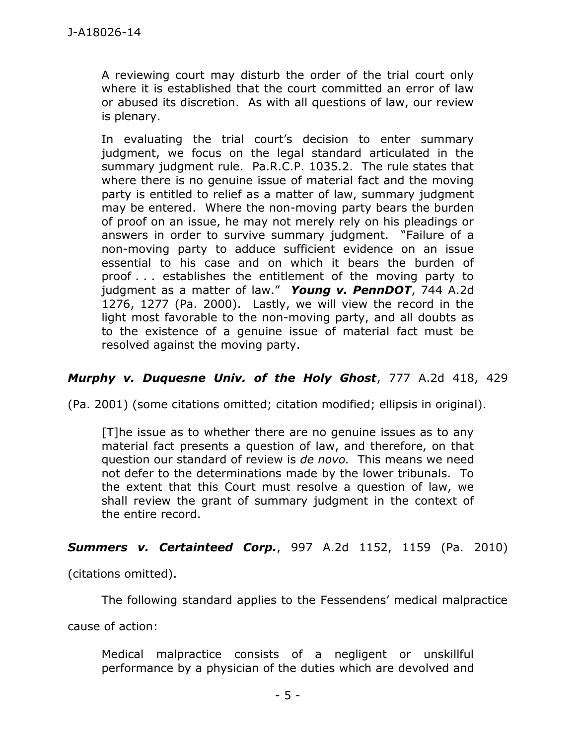A reviewing court may disturb the order of the trial court only where it is established that the court committed an error of law or abused its discretion. As with all questions of law, our review is plenary.

In evaluating the trial court's decision to enter summary judgment, we focus on the legal standard articulated in the summary judgment rule. Pa.R.C.P. 1035.2. The rule states that where there is no genuine issue of material fact and the moving party is entitled to relief as a matter of law, summary judgment may be entered. Where the non-moving party bears the burden of proof on an issue, he may not merely rely on his pleadings or answers in order to survive summary judgment. "Failure of a non-moving party to adduce sufficient evidence on an issue essential to his case and on which it bears the burden of proof . . . establishes the entitlement of the moving party to judgment as a matter of law." *Young v. PennDOT*, 744 A.2d 1276, 1277 (Pa. 2000). Lastly, we will view the record in the light most favorable to the non-moving party, and all doubts as to the existence of a genuine issue of material fact must be resolved against the moving party.

# *Murphy v. Duquesne Univ. of the Holy Ghost*, 777 A.2d 418, 429

(Pa. 2001) (some citations omitted; citation modified; ellipsis in original).

[T]he issue as to whether there are no genuine issues as to any material fact presents a question of law, and therefore, on that question our standard of review is *de novo.* This means we need not defer to the determinations made by the lower tribunals. To the extent that this Court must resolve a question of law, we shall review the grant of summary judgment in the context of the entire record.

# **Summers v. Certainteed Corp.**, 997 A.2d 1152, 1159 (Pa. 2010)

(citations omitted).

The following standard applies to the Fessendens' medical malpractice

cause of action:

Medical malpractice consists of a negligent or unskillful performance by a physician of the duties which are devolved and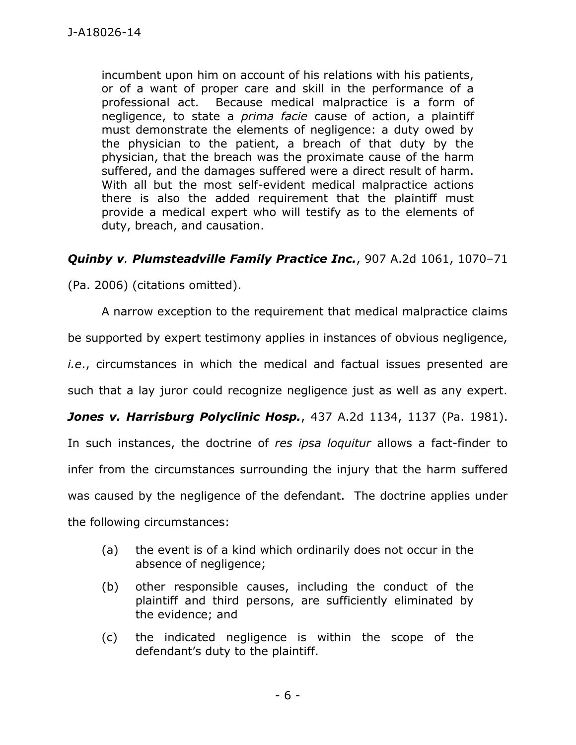incumbent upon him on account of his relations with his patients, or of a want of proper care and skill in the performance of a professional act. Because medical malpractice is a form of negligence, to state a *prima facie* cause of action, a plaintiff must demonstrate the elements of negligence: a duty owed by the physician to the patient, a breach of that duty by the physician, that the breach was the proximate cause of the harm suffered, and the damages suffered were a direct result of harm. With all but the most self-evident medical malpractice actions there is also the added requirement that the plaintiff must provide a medical expert who will testify as to the elements of duty, breach, and causation.

# *Quinby v. Plumsteadville Family Practice Inc.*, 907 A.2d 1061, 1070–71

(Pa. 2006) (citations omitted).

 A narrow exception to the requirement that medical malpractice claims be supported by expert testimony applies in instances of obvious negligence, *i.e*., circumstances in which the medical and factual issues presented are such that a lay juror could recognize negligence just as well as any expert. Jones v. Harrisburg Polyclinic Hosp., 437 A.2d 1134, 1137 (Pa. 1981). In such instances, the doctrine of *res ipsa loquitur* allows a fact-finder to infer from the circumstances surrounding the injury that the harm suffered was caused by the negligence of the defendant. The doctrine applies under the following circumstances:

- (a) the event is of a kind which ordinarily does not occur in the absence of negligence;
- (b) other responsible causes, including the conduct of the plaintiff and third persons, are sufficiently eliminated by the evidence; and
- (c) the indicated negligence is within the scope of the defendant's duty to the plaintiff.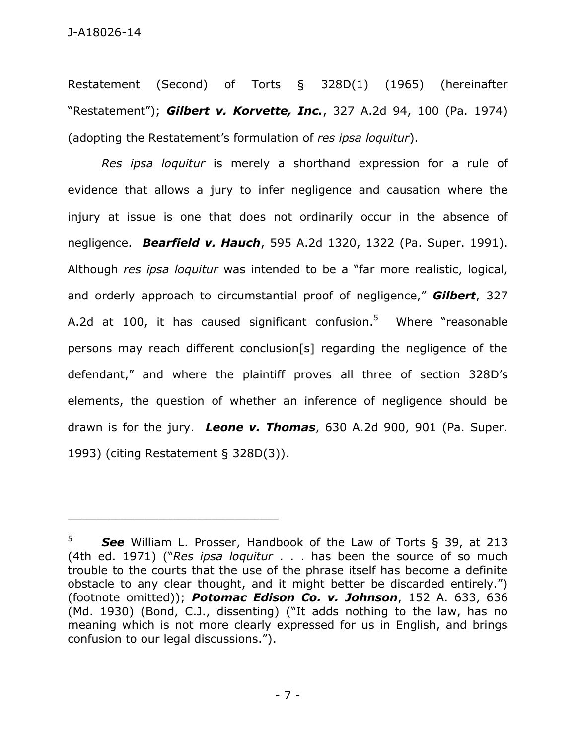Restatement (Second) of Torts § 328D(1) (1965) (hereinafter "Restatement"); *Gilbert v. Korvette, Inc.*, 327 A.2d 94, 100 (Pa. 1974) (adopting the Restatement's formulation of *res ipsa loquitur*).

*Res ipsa loquitur* is merely a shorthand expression for a rule of evidence that allows a jury to infer negligence and causation where the injury at issue is one that does not ordinarily occur in the absence of negligence. *Bearfield v. Hauch*, 595 A.2d 1320, 1322 (Pa. Super. 1991). Although *res ipsa loquitur* was intended to be a "far more realistic, logical, and orderly approach to circumstantial proof of negligence," *Gilbert*, 327 A.2d at 100, it has caused significant confusion.<sup>5</sup> Where "reasonable persons may reach different conclusion[s] regarding the negligence of the defendant," and where the plaintiff proves all three of section 328D's elements, the question of whether an inference of negligence should be drawn is for the jury. *Leone v. Thomas*, 630 A.2d 900, 901 (Pa. Super. 1993) (citing Restatement § 328D(3)).

<sup>5</sup> *See* William L. Prosser, Handbook of the Law of Torts § 39, at 213 (4th ed. 1971) ("*Res ipsa loquitur* . . . has been the source of so much trouble to the courts that the use of the phrase itself has become a definite obstacle to any clear thought, and it might better be discarded entirely.") (footnote omitted)); *Potomac Edison Co. v. Johnson*, 152 A. 633, 636 (Md. 1930) (Bond, C.J., dissenting) ("It adds nothing to the law, has no meaning which is not more clearly expressed for us in English, and brings confusion to our legal discussions.").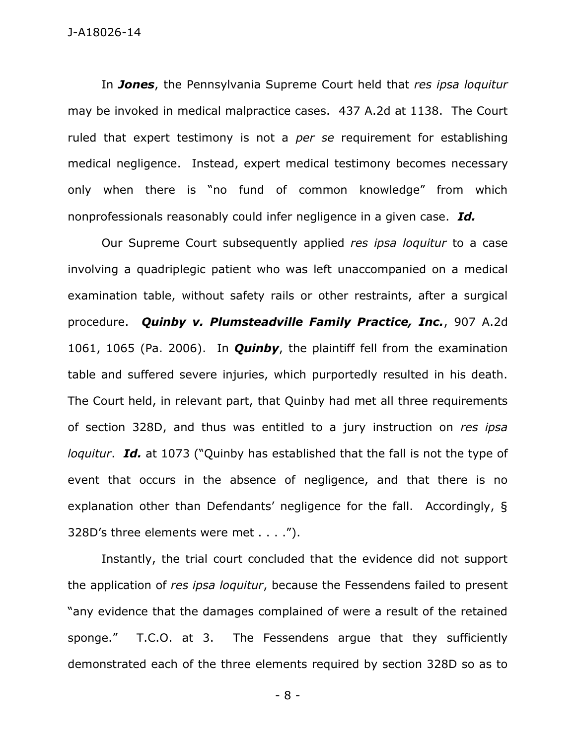### J-A18026-14

In *Jones*, the Pennsylvania Supreme Court held that *res ipsa loquitur*  may be invoked in medical malpractice cases. 437 A.2d at 1138. The Court ruled that expert testimony is not a *per se* requirement for establishing medical negligence. Instead, expert medical testimony becomes necessary only when there is "no fund of common knowledge" from which nonprofessionals reasonably could infer negligence in a given case. *Id.*

Our Supreme Court subsequently applied *res ipsa loquitur* to a case involving a quadriplegic patient who was left unaccompanied on a medical examination table, without safety rails or other restraints, after a surgical procedure. *Quinby v. Plumsteadville Family Practice, Inc.*, 907 A.2d 1061, 1065 (Pa. 2006). In *Quinby*, the plaintiff fell from the examination table and suffered severe injuries, which purportedly resulted in his death. The Court held, in relevant part, that Quinby had met all three requirements of section 328D, and thus was entitled to a jury instruction on *res ipsa loquitur*. *Id.* at 1073 ("Quinby has established that the fall is not the type of event that occurs in the absence of negligence, and that there is no explanation other than Defendants' negligence for the fall. Accordingly, § 328D's three elements were met . . . .").

 Instantly, the trial court concluded that the evidence did not support the application of *res ipsa loquitur*, because the Fessendens failed to present "any evidence that the damages complained of were a result of the retained sponge." T.C.O. at 3. The Fessendens argue that they sufficiently demonstrated each of the three elements required by section 328D so as to

- 8 -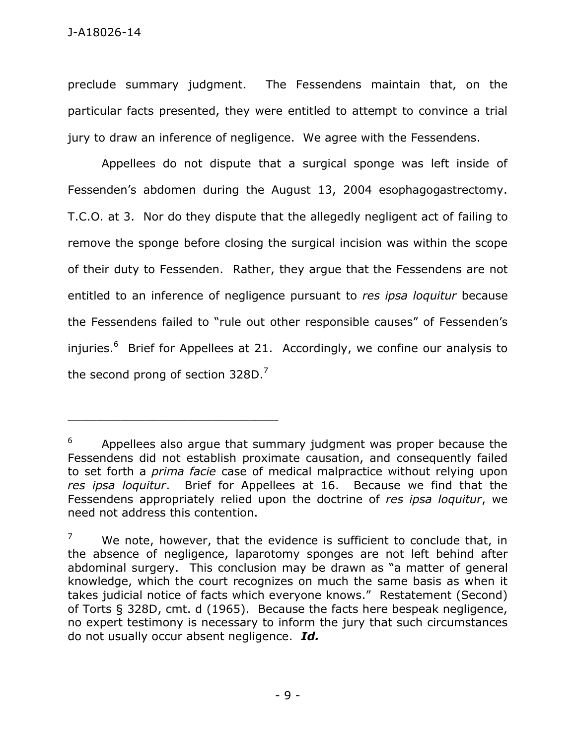preclude summary judgment. The Fessendens maintain that, on the particular facts presented, they were entitled to attempt to convince a trial jury to draw an inference of negligence. We agree with the Fessendens.

Appellees do not dispute that a surgical sponge was left inside of Fessenden's abdomen during the August 13, 2004 esophagogastrectomy. T.C.O. at 3. Nor do they dispute that the allegedly negligent act of failing to remove the sponge before closing the surgical incision was within the scope of their duty to Fessenden. Rather, they argue that the Fessendens are not entitled to an inference of negligence pursuant to *res ipsa loquitur* because the Fessendens failed to "rule out other responsible causes" of Fessenden's injuries.<sup>6</sup> Brief for Appellees at 21. Accordingly, we confine our analysis to the second prong of section 328D.<sup>7</sup>

<sup>6</sup> Appellees also argue that summary judgment was proper because the Fessendens did not establish proximate causation, and consequently failed to set forth a *prima facie* case of medical malpractice without relying upon *res ipsa loquitur*. Brief for Appellees at 16. Because we find that the Fessendens appropriately relied upon the doctrine of *res ipsa loquitur*, we need not address this contention.

<sup>7</sup> We note, however, that the evidence is sufficient to conclude that, in the absence of negligence, laparotomy sponges are not left behind after abdominal surgery. This conclusion may be drawn as "a matter of general knowledge, which the court recognizes on much the same basis as when it takes judicial notice of facts which everyone knows." Restatement (Second) of Torts § 328D, cmt. d (1965). Because the facts here bespeak negligence, no expert testimony is necessary to inform the jury that such circumstances do not usually occur absent negligence. *Id.*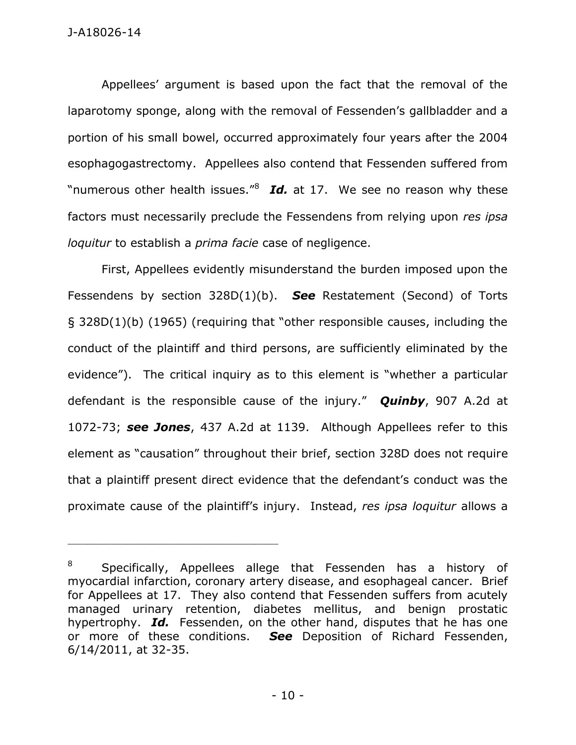Appellees' argument is based upon the fact that the removal of the laparotomy sponge, along with the removal of Fessenden's gallbladder and a portion of his small bowel, occurred approximately four years after the 2004 esophagogastrectomy. Appellees also contend that Fessenden suffered from "numerous other health issues."<sup>8</sup> Id. at 17. We see no reason why these factors must necessarily preclude the Fessendens from relying upon *res ipsa loquitur* to establish a *prima facie* case of negligence.

First, Appellees evidently misunderstand the burden imposed upon the Fessendens by section 328D(1)(b). *See* Restatement (Second) of Torts § 328D(1)(b) (1965) (requiring that "other responsible causes, including the conduct of the plaintiff and third persons, are sufficiently eliminated by the evidence"). The critical inquiry as to this element is "whether a particular defendant is the responsible cause of the injury." *Quinby*, 907 A.2d at 1072-73; *see Jones*, 437 A.2d at 1139. Although Appellees refer to this element as "causation" throughout their brief, section 328D does not require that a plaintiff present direct evidence that the defendant's conduct was the proximate cause of the plaintiff's injury. Instead, *res ipsa loquitur* allows a

<sup>8</sup> Specifically, Appellees allege that Fessenden has a history of myocardial infarction, coronary artery disease, and esophageal cancer. Brief for Appellees at 17. They also contend that Fessenden suffers from acutely managed urinary retention, diabetes mellitus, and benign prostatic hypertrophy. *Id.* Fessenden, on the other hand, disputes that he has one or more of these conditions. *See* Deposition of Richard Fessenden, 6/14/2011, at 32-35.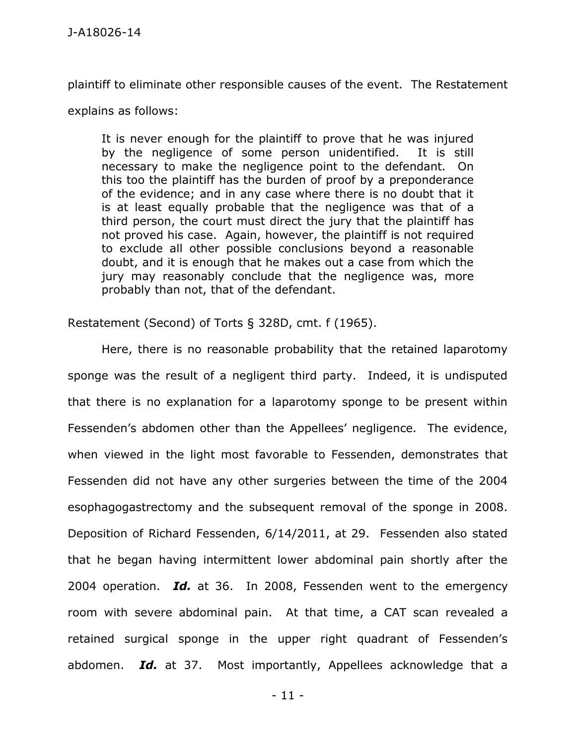plaintiff to eliminate other responsible causes of the event. The Restatement

explains as follows:

It is never enough for the plaintiff to prove that he was injured by the negligence of some person unidentified. It is still necessary to make the negligence point to the defendant. On this too the plaintiff has the burden of proof by a preponderance of the evidence; and in any case where there is no doubt that it is at least equally probable that the negligence was that of a third person, the court must direct the jury that the plaintiff has not proved his case. Again, however, the plaintiff is not required to exclude all other possible conclusions beyond a reasonable doubt, and it is enough that he makes out a case from which the jury may reasonably conclude that the negligence was, more probably than not, that of the defendant.

Restatement (Second) of Torts § 328D, cmt. f (1965).

Here, there is no reasonable probability that the retained laparotomy sponge was the result of a negligent third party. Indeed, it is undisputed that there is no explanation for a laparotomy sponge to be present within Fessenden's abdomen other than the Appellees' negligence. The evidence, when viewed in the light most favorable to Fessenden, demonstrates that Fessenden did not have any other surgeries between the time of the 2004 esophagogastrectomy and the subsequent removal of the sponge in 2008. Deposition of Richard Fessenden, 6/14/2011, at 29. Fessenden also stated that he began having intermittent lower abdominal pain shortly after the 2004 operation. *Id.* at 36. In 2008, Fessenden went to the emergency room with severe abdominal pain. At that time, a CAT scan revealed a retained surgical sponge in the upper right quadrant of Fessenden's abdomen. *Id.* at 37. Most importantly, Appellees acknowledge that a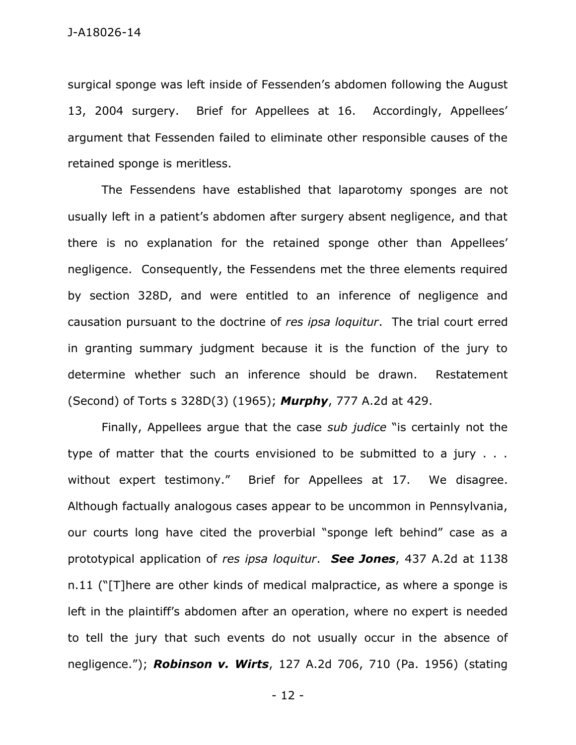surgical sponge was left inside of Fessenden's abdomen following the August 13, 2004 surgery. Brief for Appellees at 16. Accordingly, Appellees' argument that Fessenden failed to eliminate other responsible causes of the retained sponge is meritless.

The Fessendens have established that laparotomy sponges are not usually left in a patient's abdomen after surgery absent negligence, and that there is no explanation for the retained sponge other than Appellees' negligence. Consequently, the Fessendens met the three elements required by section 328D, and were entitled to an inference of negligence and causation pursuant to the doctrine of *res ipsa loquitur*. The trial court erred in granting summary judgment because it is the function of the jury to determine whether such an inference should be drawn. Restatement (Second) of Torts s 328D(3) (1965); *Murphy*, 777 A.2d at 429.

 Finally, Appellees argue that the case *sub judice* "is certainly not the type of matter that the courts envisioned to be submitted to a jury . . . without expert testimony." Brief for Appellees at 17. We disagree. Although factually analogous cases appear to be uncommon in Pennsylvania, our courts long have cited the proverbial "sponge left behind" case as a prototypical application of *res ipsa loquitur*. *See Jones*, 437 A.2d at 1138 n.11 ("[T]here are other kinds of medical malpractice, as where a sponge is left in the plaintiff's abdomen after an operation, where no expert is needed to tell the jury that such events do not usually occur in the absence of negligence."); *Robinson v. Wirts*, 127 A.2d 706, 710 (Pa. 1956) (stating

- 12 -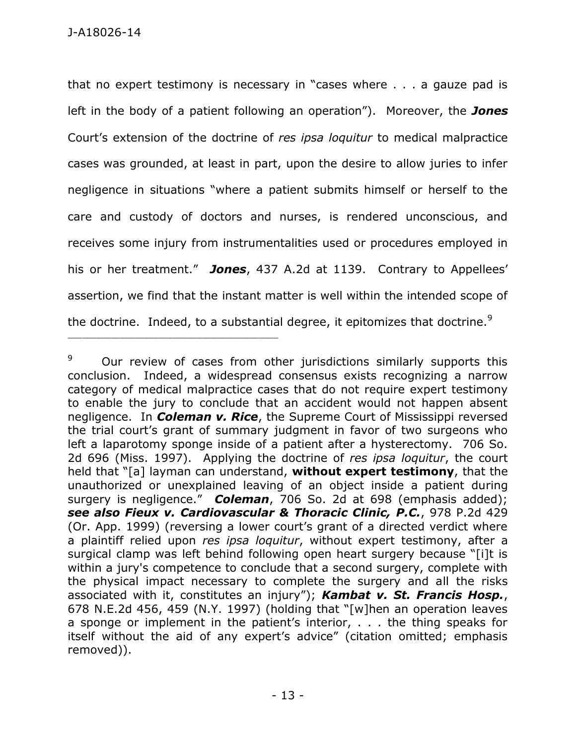\_\_\_\_\_\_\_\_\_\_\_\_\_\_\_\_\_\_\_\_\_\_\_\_\_\_\_\_\_\_\_\_\_\_\_\_\_\_\_\_\_\_\_\_

that no expert testimony is necessary in "cases where . . . a gauze pad is left in the body of a patient following an operation"). Moreover, the *Jones* Court's extension of the doctrine of *res ipsa loquitur* to medical malpractice cases was grounded, at least in part, upon the desire to allow juries to infer negligence in situations "where a patient submits himself or herself to the care and custody of doctors and nurses, is rendered unconscious, and receives some injury from instrumentalities used or procedures employed in his or her treatment." *Jones*, 437 A.2d at 1139. Contrary to Appellees' assertion, we find that the instant matter is well within the intended scope of the doctrine. Indeed, to a substantial degree, it epitomizes that doctrine.<sup>9</sup>

<sup>9</sup> Our review of cases from other jurisdictions similarly supports this conclusion. Indeed, a widespread consensus exists recognizing a narrow category of medical malpractice cases that do not require expert testimony to enable the jury to conclude that an accident would not happen absent negligence. In *Coleman v. Rice*, the Supreme Court of Mississippi reversed the trial court's grant of summary judgment in favor of two surgeons who left a laparotomy sponge inside of a patient after a hysterectomy. 706 So. 2d 696 (Miss. 1997). Applying the doctrine of *res ipsa loquitur*, the court held that "[a] layman can understand, **without expert testimony**, that the unauthorized or unexplained leaving of an object inside a patient during surgery is negligence." *Coleman*, 706 So. 2d at 698 (emphasis added); *see also Fieux v. Cardiovascular & Thoracic Clinic, P.C.*, 978 P.2d 429 (Or. App. 1999) (reversing a lower court's grant of a directed verdict where a plaintiff relied upon *res ipsa loquitur*, without expert testimony, after a surgical clamp was left behind following open heart surgery because "[i]t is within a jury's competence to conclude that a second surgery, complete with the physical impact necessary to complete the surgery and all the risks associated with it, constitutes an injury"); *Kambat v. St. Francis Hosp.*, 678 N.E.2d 456, 459 (N.Y. 1997) (holding that "[w]hen an operation leaves a sponge or implement in the patient's interior, . . . the thing speaks for itself without the aid of any expert's advice" (citation omitted; emphasis removed)).